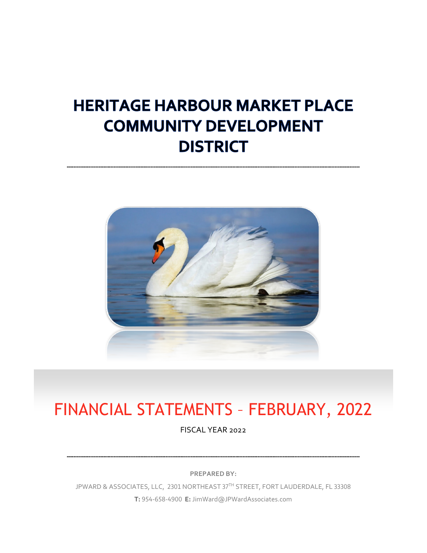# **HERITAGE HARBOUR MARKET PLACE COMMUNITY DEVELOPMENT DISTRICT**



# FINANCIAL STATEMENTS – FEBRUARY, 2022

FISCAL YEAR 2022

**PREPARED BY:**

JPWARD & ASSOCIATES, LLC, 2301 NORTHEAST 37TH STREET, FORT LAUDERDALE, FL 33308 **T:** 954-658-4900 **E:** JimWard@JPWardAssociates.com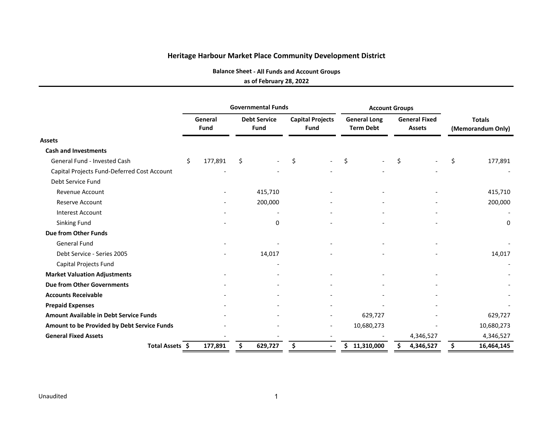**Balance Sheet ‐ All Funds and Account Groups**

#### **as of February 28, 2022**

|                                               |    |                 |    | <b>Governmental Funds</b>          |                                 |                          | <b>Account Groups</b>                   |    |                                       |                                    |                          |
|-----------------------------------------------|----|-----------------|----|------------------------------------|---------------------------------|--------------------------|-----------------------------------------|----|---------------------------------------|------------------------------------|--------------------------|
|                                               |    | General<br>Fund |    | <b>Debt Service</b><br><b>Fund</b> | <b>Capital Projects</b><br>Fund |                          | <b>General Long</b><br><b>Term Debt</b> |    | <b>General Fixed</b><br><b>Assets</b> | <b>Totals</b><br>(Memorandum Only) |                          |
| <b>Assets</b>                                 |    |                 |    |                                    |                                 |                          |                                         |    |                                       |                                    |                          |
| <b>Cash and Investments</b>                   |    |                 |    |                                    |                                 |                          |                                         |    |                                       |                                    |                          |
| General Fund - Invested Cash                  | \$ | 177,891         | \$ |                                    | \$                              |                          | \$                                      | \$ |                                       | \$                                 | 177,891                  |
| Capital Projects Fund-Deferred Cost Account   |    |                 |    |                                    |                                 |                          |                                         |    |                                       |                                    |                          |
| Debt Service Fund                             |    |                 |    |                                    |                                 |                          |                                         |    |                                       |                                    |                          |
| <b>Revenue Account</b>                        |    |                 |    | 415,710                            |                                 |                          |                                         |    |                                       |                                    | 415,710                  |
| <b>Reserve Account</b>                        |    |                 |    | 200,000                            |                                 |                          |                                         |    |                                       |                                    | 200,000                  |
| <b>Interest Account</b>                       |    |                 |    |                                    |                                 |                          |                                         |    |                                       |                                    | $\overline{\phantom{0}}$ |
| Sinking Fund                                  |    |                 |    | 0                                  |                                 |                          |                                         |    |                                       |                                    | 0                        |
| Due from Other Funds                          |    |                 |    |                                    |                                 |                          |                                         |    |                                       |                                    |                          |
| <b>General Fund</b>                           |    |                 |    |                                    |                                 |                          |                                         |    |                                       |                                    |                          |
| Debt Service - Series 2005                    |    |                 |    | 14,017                             |                                 |                          |                                         |    |                                       |                                    | 14,017                   |
| Capital Projects Fund                         |    |                 |    |                                    |                                 |                          |                                         |    |                                       |                                    | $\overline{\phantom{a}}$ |
| <b>Market Valuation Adjustments</b>           |    |                 |    |                                    |                                 |                          |                                         |    |                                       |                                    |                          |
| <b>Due from Other Governments</b>             |    |                 |    |                                    |                                 |                          |                                         |    |                                       |                                    |                          |
| <b>Accounts Receivable</b>                    |    |                 |    |                                    |                                 |                          |                                         |    |                                       |                                    |                          |
| <b>Prepaid Expenses</b>                       |    |                 |    |                                    |                                 |                          |                                         |    |                                       |                                    |                          |
| <b>Amount Available in Debt Service Funds</b> |    |                 |    |                                    |                                 |                          | 629,727                                 |    |                                       |                                    | 629,727                  |
| Amount to be Provided by Debt Service Funds   |    |                 |    |                                    |                                 |                          | 10,680,273                              |    |                                       |                                    | 10,680,273               |
| <b>General Fixed Assets</b>                   |    |                 |    |                                    |                                 | $\overline{\phantom{a}}$ |                                         |    | 4,346,527                             |                                    | 4,346,527                |
| Total Assets \$                               |    | 177,891         | \$ | 629,727                            | \$                              |                          | 11,310,000<br>Ś.                        |    | 4,346,527                             | \$                                 | 16,464,145               |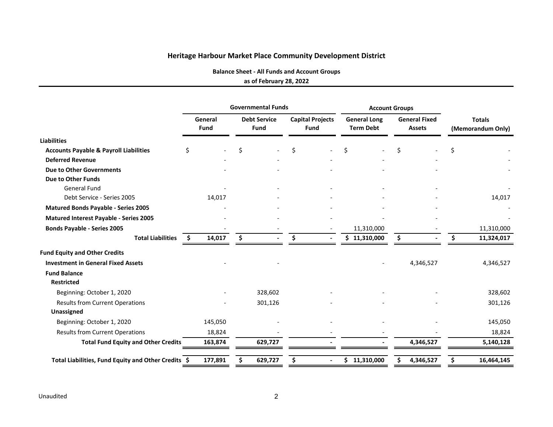**Balance Sheet ‐ All Funds and Account Groups**

#### **as of February 28, 2022**

|                                                     |    |                 |    | <b>Governmental Funds</b>          |     |                                        |              | <b>Account Groups</b>                   |    |                                       |                                    |            |  |
|-----------------------------------------------------|----|-----------------|----|------------------------------------|-----|----------------------------------------|--------------|-----------------------------------------|----|---------------------------------------|------------------------------------|------------|--|
|                                                     |    | General<br>Fund |    | <b>Debt Service</b><br><b>Fund</b> |     | <b>Capital Projects</b><br><b>Fund</b> |              | <b>General Long</b><br><b>Term Debt</b> |    | <b>General Fixed</b><br><b>Assets</b> | <b>Totals</b><br>(Memorandum Only) |            |  |
| <b>Liabilities</b>                                  |    |                 |    |                                    |     |                                        |              |                                         |    |                                       |                                    |            |  |
| <b>Accounts Payable &amp; Payroll Liabilities</b>   | Ś. |                 | Ś. |                                    | Ś   |                                        | Ś.           |                                         | Ś. |                                       | Ś                                  |            |  |
| <b>Deferred Revenue</b>                             |    |                 |    |                                    |     |                                        |              |                                         |    |                                       |                                    |            |  |
| <b>Due to Other Governments</b>                     |    |                 |    |                                    |     |                                        |              |                                         |    |                                       |                                    |            |  |
| <b>Due to Other Funds</b>                           |    |                 |    |                                    |     |                                        |              |                                         |    |                                       |                                    |            |  |
| <b>General Fund</b>                                 |    |                 |    |                                    |     |                                        |              |                                         |    |                                       |                                    |            |  |
| Debt Service - Series 2005                          |    | 14,017          |    |                                    |     |                                        |              |                                         |    |                                       |                                    | 14,017     |  |
| <b>Matured Bonds Payable - Series 2005</b>          |    |                 |    |                                    |     |                                        |              |                                         |    |                                       |                                    |            |  |
| Matured Interest Payable - Series 2005              |    |                 |    |                                    |     |                                        |              |                                         |    |                                       |                                    |            |  |
| <b>Bonds Payable - Series 2005</b>                  |    |                 |    |                                    |     |                                        |              | 11,310,000                              |    |                                       |                                    | 11,310,000 |  |
| <b>Total Liabilities</b>                            | S. | 14,017          | \$ |                                    | \$. | $\blacksquare$                         |              | \$11,310,000                            | \$ |                                       | S                                  | 11,324,017 |  |
| <b>Fund Equity and Other Credits</b>                |    |                 |    |                                    |     |                                        |              |                                         |    |                                       |                                    |            |  |
| <b>Investment in General Fixed Assets</b>           |    |                 |    |                                    |     |                                        |              |                                         |    | 4,346,527                             |                                    | 4,346,527  |  |
| <b>Fund Balance</b>                                 |    |                 |    |                                    |     |                                        |              |                                         |    |                                       |                                    |            |  |
| <b>Restricted</b>                                   |    |                 |    |                                    |     |                                        |              |                                         |    |                                       |                                    |            |  |
| Beginning: October 1, 2020                          |    |                 |    | 328,602                            |     |                                        |              |                                         |    |                                       |                                    | 328,602    |  |
| <b>Results from Current Operations</b>              |    |                 |    | 301,126                            |     |                                        |              |                                         |    |                                       |                                    | 301,126    |  |
| Unassigned                                          |    |                 |    |                                    |     |                                        |              |                                         |    |                                       |                                    |            |  |
| Beginning: October 1, 2020                          |    | 145,050         |    |                                    |     |                                        |              |                                         |    |                                       |                                    | 145,050    |  |
| <b>Results from Current Operations</b>              |    | 18,824          |    |                                    |     |                                        |              |                                         |    |                                       |                                    | 18,824     |  |
| <b>Total Fund Equity and Other Credits</b>          |    | 163,874         |    | 629,727                            |     |                                        |              |                                         |    | 4,346,527                             |                                    | 5,140,128  |  |
| Total Liabilities, Fund Equity and Other Credits \$ |    | 177,891         |    | 629,727                            | Ś   | $\blacksquare$                         | \$11,310,000 |                                         |    | 4,346,527                             |                                    | 16,464,145 |  |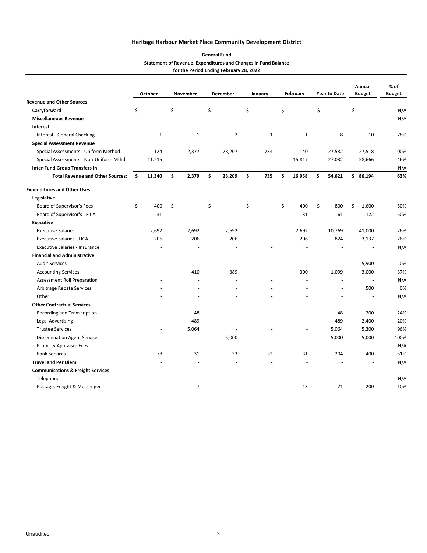| <b>General Fund</b>                                            |
|----------------------------------------------------------------|
| Statement of Revenue, Expenditures and Changes in Fund Balance |
| for the Period Ending February 28, 2022                        |

|                                              |    | <b>October</b> |    | November       | December       | January      | February                 | <b>Year to Date</b> | Annual<br><b>Budget</b> | % of<br><b>Budget</b> |
|----------------------------------------------|----|----------------|----|----------------|----------------|--------------|--------------------------|---------------------|-------------------------|-----------------------|
| <b>Revenue and Other Sources</b>             |    |                |    |                |                |              |                          |                     |                         |                       |
| Carryforward                                 | \$ | ä,             | \$ | ÷              | \$<br>ä,       | \$           | \$                       | \$                  | \$                      | N/A                   |
| <b>Miscellaneous Revenue</b>                 |    |                |    |                |                |              |                          |                     |                         | N/A                   |
| Interest                                     |    |                |    |                |                |              |                          |                     |                         |                       |
| Interest - General Checking                  |    | $\mathbf{1}$   |    | 1              | $\overline{2}$ | $\mathbf{1}$ | $\mathbf{1}$             | 8                   | 10                      | 78%                   |
| <b>Special Assessment Revenue</b>            |    |                |    |                |                |              |                          |                     |                         |                       |
| Special Assessments - Uniform Method         |    | 124            |    | 2,377          | 23,207         | 734          | 1,140                    | 27,582              | 27,518                  | 100%                  |
| Special Assessments - Non-Uniform Mthd       |    | 11,215         |    |                |                |              | 15,817                   | 27,032              | 58,666                  | 46%                   |
| <b>Inter-Fund Group Transfers In</b>         |    | ÷,             |    | $\sim$         | ä,             | $\sim$       | $\sim$                   | $\sim$              |                         | N/A                   |
| <b>Total Revenue and Other Sources:</b>      | \$ | 11,340         | \$ | 2,379          | \$<br>23,209   | \$<br>735    | \$<br>16,958             | \$<br>54,621        | \$86,194                | 63%                   |
| <b>Expenditures and Other Uses</b>           |    |                |    |                |                |              |                          |                     |                         |                       |
| Legislative                                  |    |                |    |                |                |              |                          |                     |                         |                       |
| Board of Supervisor's Fees                   | \$ | 400            | \$ |                | \$             | \$           | \$<br>400                | \$<br>800           | \$<br>1,600             | 50%                   |
| Board of Supervisor's - FICA                 |    | 31             |    |                |                |              | 31                       | 61                  | 122                     | 50%                   |
| <b>Executive</b>                             |    |                |    |                |                |              |                          |                     |                         |                       |
| <b>Executive Salaries</b>                    |    | 2,692          |    | 2,692          | 2,692          |              | 2,692                    | 10,769              | 41,000                  | 26%                   |
| <b>Executive Salaries - FICA</b>             |    | 206            |    | 206            | 206            |              | 206                      | 824                 | 3,137                   | 26%                   |
| <b>Executive Salaries - Insurance</b>        |    |                |    |                |                |              |                          |                     | ٠                       | N/A                   |
| <b>Financial and Administrative</b>          |    |                |    |                |                |              |                          |                     |                         |                       |
| <b>Audit Services</b>                        |    | ٠              |    | J.             | ÷,             |              | $\overline{\phantom{a}}$ |                     | 5,900                   | 0%                    |
| <b>Accounting Services</b>                   |    |                |    | 410            | 389            |              | 300                      | 1,099               | 3,000                   | 37%                   |
| <b>Assessment Roll Preparation</b>           |    |                |    | ÷.             | ÷.             |              | L.                       | ÷.                  | ÷.                      | N/A                   |
| Arbitrage Rebate Services                    |    |                |    | $\sim$         |                |              |                          | ÷.                  | 500                     | 0%                    |
| Other                                        |    |                |    | ٠              |                |              |                          |                     | ÷,                      | N/A                   |
| <b>Other Contractual Services</b>            |    |                |    |                |                |              |                          |                     |                         |                       |
| Recording and Transcription                  |    |                |    | 48             |                |              |                          | 48                  | 200                     | 24%                   |
| <b>Legal Advertising</b>                     |    |                |    | 489            |                |              | L,                       | 489                 | 2,400                   | 20%                   |
| <b>Trustee Services</b>                      |    | $\overline{a}$ |    | 5,064          |                |              | ä,                       | 5,064               | 5,300                   | 96%                   |
| <b>Dissemination Agent Services</b>          |    | ٠              |    | ÷,             | 5,000          |              | ä,                       | 5,000               | 5,000                   | 100%                  |
| <b>Property Appraiser Fees</b>               |    | ÷              |    | $\sim$         | $\sim$         |              | ÷.                       |                     | ÷.                      | N/A                   |
| <b>Bank Services</b>                         |    | 78             |    | 31             | 33             | 32           | 31                       | 204                 | 400                     | 51%                   |
| <b>Travel and Per Diem</b>                   |    |                |    |                |                |              |                          |                     |                         | N/A                   |
| <b>Communications &amp; Freight Services</b> |    |                |    |                |                |              |                          |                     |                         |                       |
| Telephone                                    |    |                |    |                |                |              |                          |                     |                         | N/A                   |
| Postage, Freight & Messenger                 |    |                |    | $\overline{7}$ |                |              | 13                       | 21                  | 200                     | 10%                   |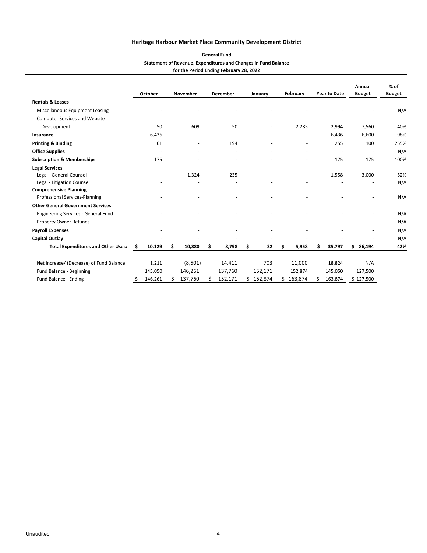| <b>General Fund</b>                                            |
|----------------------------------------------------------------|
| Statement of Revenue, Expenditures and Changes in Fund Balance |
| for the Period Ending February 28, 2022                        |

|                                           |     | October |    | November |    | <b>December</b> |    | January |    | February |    | <b>Year to Date</b> | Annual<br><b>Budget</b>  | $%$ of<br><b>Budget</b> |
|-------------------------------------------|-----|---------|----|----------|----|-----------------|----|---------|----|----------|----|---------------------|--------------------------|-------------------------|
| <b>Rentals &amp; Leases</b>               |     |         |    |          |    |                 |    |         |    |          |    |                     |                          |                         |
| Miscellaneous Equipment Leasing           |     |         |    |          |    |                 |    |         |    |          |    |                     |                          | N/A                     |
| <b>Computer Services and Website</b>      |     |         |    |          |    |                 |    |         |    |          |    |                     |                          |                         |
| Development                               |     | 50      |    | 609      |    | 50              |    | ٠       |    | 2,285    |    | 2,994               | 7,560                    | 40%                     |
| Insurance                                 |     | 6,436   |    |          |    |                 |    |         |    |          |    | 6,436               | 6,600                    | 98%                     |
| <b>Printing &amp; Binding</b>             |     | 61      |    | ٠        |    | 194             |    |         |    |          |    | 255                 | 100                      | 255%                    |
| <b>Office Supplies</b>                    |     |         |    | ٠        |    |                 |    |         |    |          |    | $\sim$              | $\overline{\phantom{a}}$ | N/A                     |
| <b>Subscription &amp; Memberships</b>     |     | 175     |    |          |    |                 |    |         |    |          |    | 175                 | 175                      | 100%                    |
| <b>Legal Services</b>                     |     |         |    |          |    |                 |    |         |    |          |    |                     |                          |                         |
| Legal - General Counsel                   |     |         |    | 1,324    |    | 235             |    |         |    | ٠        |    | 1,558               | 3,000                    | 52%                     |
| Legal - Litigation Counsel                |     |         |    |          |    |                 |    |         |    |          |    |                     |                          | N/A                     |
| <b>Comprehensive Planning</b>             |     |         |    |          |    |                 |    |         |    |          |    |                     |                          |                         |
| Professional Services-Planning            |     |         |    |          |    |                 |    |         |    |          |    |                     |                          | N/A                     |
| <b>Other General Government Services</b>  |     |         |    |          |    |                 |    |         |    |          |    |                     |                          |                         |
| Engineering Services - General Fund       |     |         |    |          |    |                 |    |         |    |          |    |                     |                          | N/A                     |
| Property Owner Refunds                    |     |         |    |          |    |                 |    |         |    |          |    |                     | ٠                        | N/A                     |
| <b>Payroll Expenses</b>                   |     |         |    |          |    |                 |    |         |    |          |    |                     |                          | N/A                     |
| <b>Capital Outlay</b>                     |     |         |    |          |    |                 |    |         |    |          |    |                     |                          | N/A                     |
| <b>Total Expenditures and Other Uses:</b> | \$. | 10,129  | \$ | 10,880   | \$ | 8,798           | \$ | 32      | \$ | 5,958    | Ś. | 35,797              | \$86,194                 | 42%                     |
| Net Increase/ (Decrease) of Fund Balance  |     | 1,211   |    | (8,501)  |    | 14,411          |    | 703     |    | 11,000   |    | 18,824              | N/A                      |                         |
| Fund Balance - Beginning                  |     | 145,050 |    | 146,261  |    | 137,760         |    | 152,171 |    | 152,874  |    | 145,050             | 127,500                  |                         |
| Fund Balance - Ending                     | \$  | 146,261 | Ś  | 137,760  | Ś  | 152,171         | Ś. | 152,874 | Ś. | 163,874  | Ś. | 163,874             | \$127,500                |                         |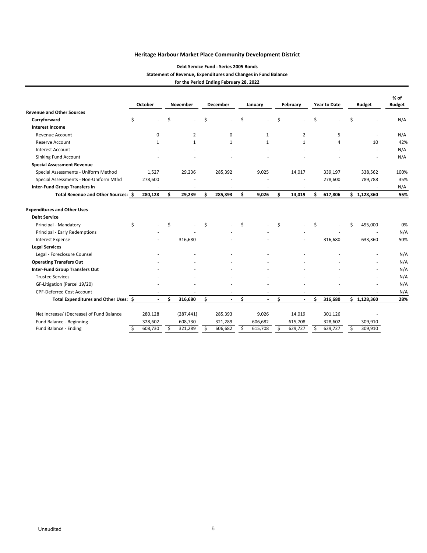#### **Debt Service Fund ‐ Series 2005 Bonds Statement of Revenue, Expenditures and Changes in Fund Balance for the Period Ending February 28, 2022**

|                                          |    | October      |    | <b>November</b> |    | <b>December</b> |    | January      |    | February       |    | <b>Year to Date</b> | <b>Budget</b> |             | $%$ of<br><b>Budget</b> |  |
|------------------------------------------|----|--------------|----|-----------------|----|-----------------|----|--------------|----|----------------|----|---------------------|---------------|-------------|-------------------------|--|
| <b>Revenue and Other Sources</b>         |    |              |    |                 |    |                 |    |              |    |                |    |                     |               |             |                         |  |
| Carryforward                             | \$ |              | \$ | $\sim$          | \$ |                 | \$ |              | \$ |                | \$ |                     | \$            |             | N/A                     |  |
| <b>Interest Income</b>                   |    |              |    |                 |    |                 |    |              |    |                |    |                     |               |             |                         |  |
| <b>Revenue Account</b>                   |    | 0            |    | $\overline{2}$  |    | $\mathsf 0$     |    | $\mathbf{1}$ |    | $\overline{2}$ |    | 5                   |               |             | N/A                     |  |
| Reserve Account                          |    | $\mathbf{1}$ |    | $\mathbf{1}$    |    | $\mathbf{1}$    |    | $\mathbf{1}$ |    | 1              |    | 4                   |               | 10          | 42%                     |  |
| <b>Interest Account</b>                  |    |              |    |                 |    |                 |    |              |    |                |    |                     |               |             | N/A                     |  |
| Sinking Fund Account                     |    |              |    |                 |    |                 |    |              |    |                |    |                     |               |             | N/A                     |  |
| <b>Special Assessment Revenue</b>        |    |              |    |                 |    |                 |    |              |    |                |    |                     |               |             |                         |  |
| Special Assessments - Uniform Method     |    | 1,527        |    | 29,236          |    | 285,392         |    | 9,025        |    | 14,017         |    | 339,197             |               | 338,562     | 100%                    |  |
| Special Assessments - Non-Uniform Mthd   |    | 278,600      |    |                 |    |                 |    |              |    |                |    | 278,600             |               | 789,788     | 35%                     |  |
| <b>Inter-Fund Group Transfers In</b>     |    |              |    |                 |    |                 |    |              |    |                |    |                     |               |             | N/A                     |  |
| Total Revenue and Other Sources: \$      |    | 280,128      | \$ | 29,239          | \$ | 285,393         | \$ | 9,026        | \$ | 14,019         | \$ | 617,806             |               | \$1,128,360 | 55%                     |  |
| <b>Expenditures and Other Uses</b>       |    |              |    |                 |    |                 |    |              |    |                |    |                     |               |             |                         |  |
| <b>Debt Service</b>                      |    |              |    |                 |    |                 |    |              |    |                |    |                     |               |             |                         |  |
| Principal - Mandatory                    | \$ |              | \$ |                 | Ś. |                 | Ś  |              | Ś  |                | Ś  |                     | Ś             | 495,000     | 0%                      |  |
| Principal - Early Redemptions            |    |              |    |                 |    |                 |    |              |    |                |    |                     |               |             | N/A                     |  |
| <b>Interest Expense</b>                  |    |              |    | 316,680         |    |                 |    |              |    |                |    | 316,680             |               | 633,360     | 50%                     |  |
| <b>Legal Services</b>                    |    |              |    |                 |    |                 |    |              |    |                |    |                     |               |             |                         |  |
| Legal - Foreclosure Counsel              |    |              |    |                 |    |                 |    |              |    |                |    |                     |               |             | N/A                     |  |
| <b>Operating Transfers Out</b>           |    |              |    |                 |    |                 |    |              |    |                |    |                     |               |             | N/A                     |  |
| <b>Inter-Fund Group Transfers Out</b>    |    |              |    |                 |    |                 |    |              |    |                |    |                     |               |             | N/A                     |  |
| <b>Trustee Services</b>                  |    |              |    |                 |    |                 |    |              |    |                |    |                     |               |             | N/A                     |  |
| GF-Litigation (Parcel 19/20)             |    |              |    |                 |    |                 |    |              |    |                |    |                     |               |             | N/A                     |  |
| <b>CPF-Deferred Cost Account</b>         |    |              |    |                 |    | $\sim$          |    |              |    |                |    |                     |               |             | N/A                     |  |
| Total Expenditures and Other Uses: \$    |    |              | Ś  | 316,680         | \$ |                 | \$ | L.           | \$ |                | Ś  | 316,680             |               | \$1,128,360 | 28%                     |  |
| Net Increase/ (Decrease) of Fund Balance |    | 280,128      |    | (287, 441)      |    | 285,393         |    | 9,026        |    | 14,019         |    | 301,126             |               |             |                         |  |
| Fund Balance - Beginning                 |    | 328,602      |    | 608,730         |    | 321,289         |    | 606,682      |    | 615,708        |    | 328,602             |               | 309,910     |                         |  |
| Fund Balance - Ending                    | \$ | 608,730      | \$ | 321,289         | \$ | 606,682         | \$ | 615,708      | \$ | 629,727        | Ŝ  | 629,727             |               | 309,910     |                         |  |